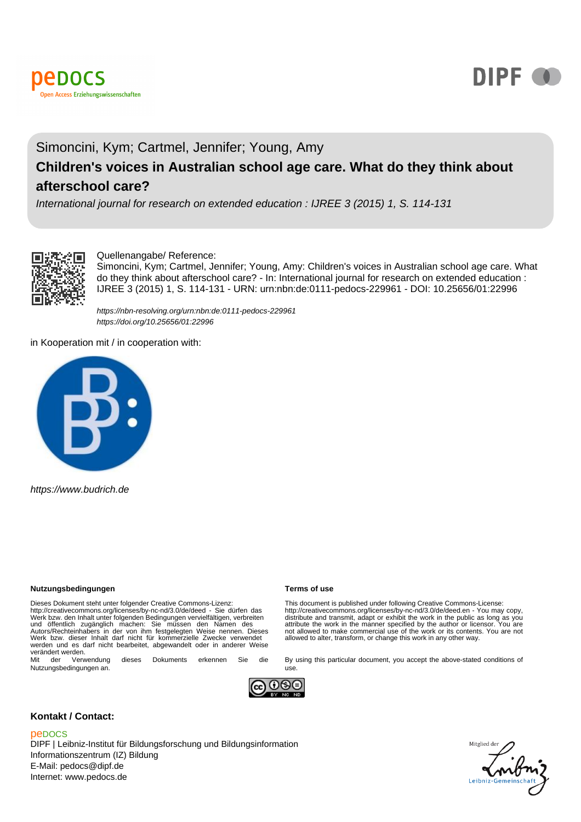



#### Simoncini, Kym; Cartmel, Jennifer; Young, Amy **Children's voices in Australian school age care. What do they think about afterschool care?**

International journal for research on extended education : IJREE 3 (2015) 1, S. 114-131



#### Quellenangabe/ Reference:

Simoncini, Kym; Cartmel, Jennifer; Young, Amy: Children's voices in Australian school age care. What do they think about afterschool care? - In: International journal for research on extended education : IJREE 3 (2015) 1, S. 114-131 - URN: urn:nbn:de:0111-pedocs-229961 - DOI: 10.25656/01:22996

https://nbn-resolving.org/urn:nbn:de:0111-pedocs-229961 https://doi.org/10.25656/01:22996

in Kooperation mit / in cooperation with:



https://www.budrich.de

#### **Nutzungsbedingungen Terms of use**

Dieses Dokument steht unter folgender Creative Commons-Lizenz: http://creativecommons.org/licenses/by-nc-nd/3.0/de/deed - Sie dürfen das<br>Werk bzw. den Inhalt unter folgenden Bedingungen vervielfältigen, verbreiten<br>und öffentlich zugänglich machen: Sie müssen den Namen des<br>Autors/Recht werden und es darf nicht bearbeitet, abgewandelt oder in anderer Weise verändert werden.<br>Mit der Verwendung

dieses Dokuments erkennen Sie die Nutzungsbedingungen an.



use.

#### **Kontakt / Contact:**

#### peDOCS

DIPF | Leibniz-Institut für Bildungsforschung und Bildungsinformation Informationszentrum (IZ) Bildung E-Mail: pedocs@dipf.de Internet: www.pedocs.de

This document is published under following Creative Commons-License: http://creativecommons.org/licenses/by-nc-nd/3.0/de/deed.en - You may copy,<br>distribute and transmit, adapt or exhibit the work in the public as long as you<br>attribute the work in the manner specified by the author or licens not allowed to make commercial use of the work or its contents. You are not allowed to alter, transform, or change this work in any other way.

By using this particular document, you accept the above-stated conditions of

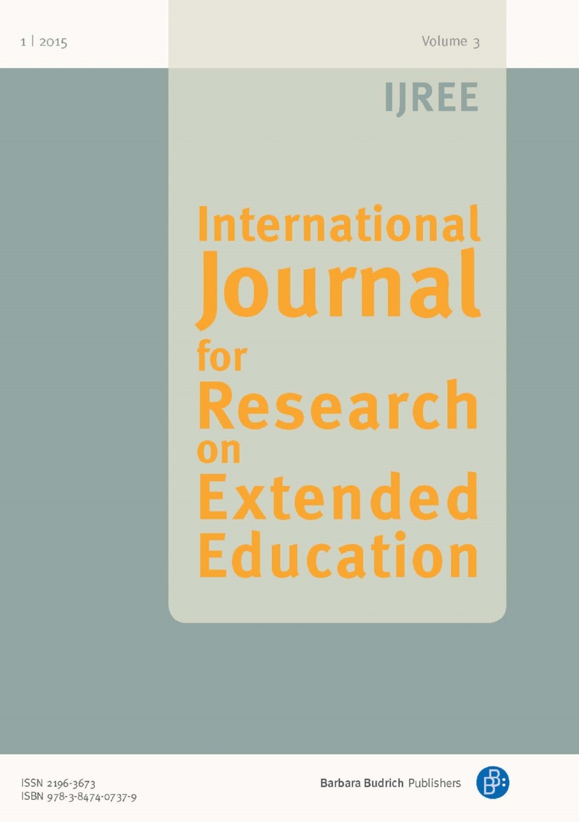## **IJREE**

# **International** lournal **or lesearch** Extended Education

ISSN 2196-3673 ISBN 978-3-8474-0737-9 Barbara Budrich Publishers

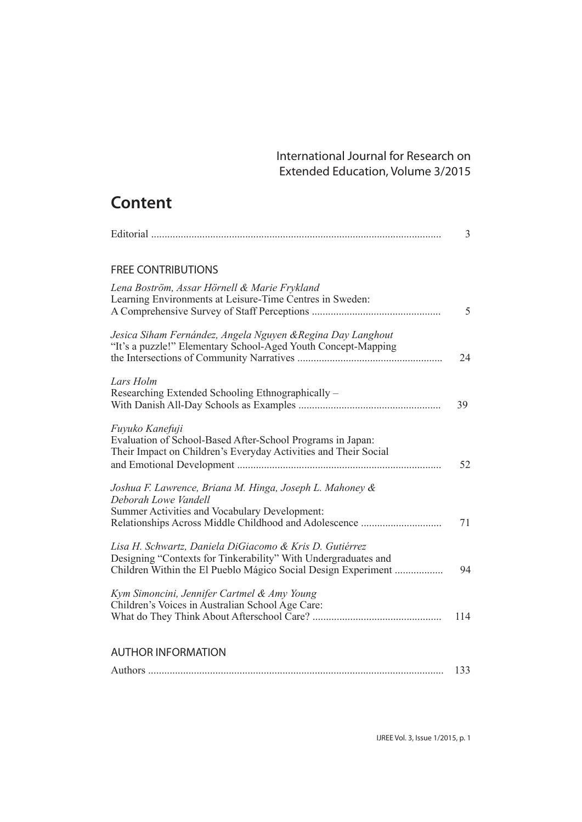### **Content**

|                                                                                                                                                                                            | 3   |
|--------------------------------------------------------------------------------------------------------------------------------------------------------------------------------------------|-----|
| <b>FREE CONTRIBUTIONS</b>                                                                                                                                                                  |     |
| Lena Boström, Assar Hörnell & Marie Frykland<br>Learning Environments at Leisure-Time Centres in Sweden:                                                                                   | 5   |
| Jesica Siham Fernández, Angela Nguyen & Regina Day Langhout<br>"It's a puzzle!" Elementary School-Aged Youth Concept-Mapping                                                               | 24  |
| Lars Holm<br>Researching Extended Schooling Ethnographically –                                                                                                                             | 39  |
| Fuyuko Kanefuji<br>Evaluation of School-Based After-School Programs in Japan:<br>Their Impact on Children's Everyday Activities and Their Social                                           | 52  |
| Joshua F. Lawrence, Briana M. Hinga, Joseph L. Mahoney &<br>Deborah Lowe Vandell<br>Summer Activities and Vocabulary Development:                                                          | 71  |
| Lisa H. Schwartz, Daniela DiGiacomo & Kris D. Gutiérrez<br>Designing "Contexts for Tinkerability" With Undergraduates and<br>Children Within the El Pueblo Mágico Social Design Experiment | 94  |
| Kym Simoncini, Jennifer Cartmel & Amy Young<br>Children's Voices in Australian School Age Care:                                                                                            | 114 |
| <b>AUTHOR INFORMATION</b>                                                                                                                                                                  |     |
|                                                                                                                                                                                            | 133 |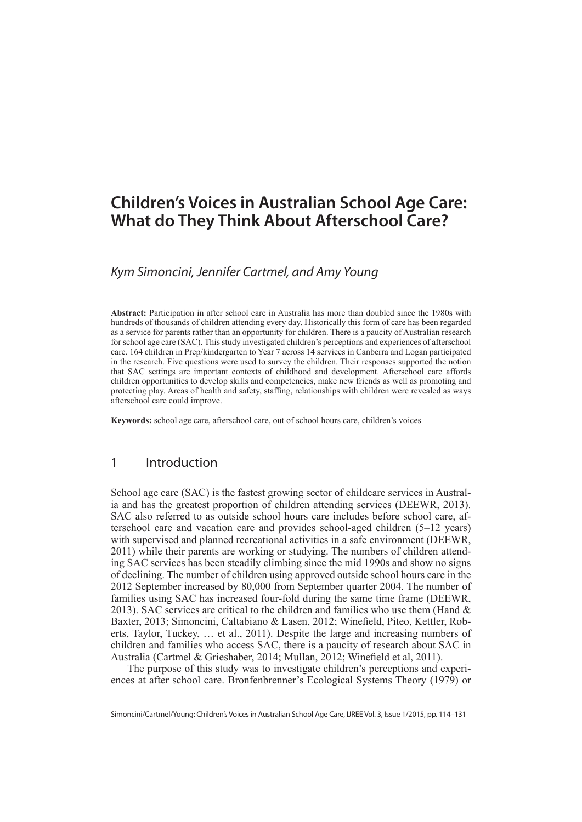#### **Children's Voices in Australian School Age Care: What do They Think About Afterschool Care?**

#### *Kym Simoncini, Jennifer Cartmel, and Amy Young*

**Abstract:** Participation in after school care in Australia has more than doubled since the 1980s with hundreds of thousands of children attending every day. Historically this form of care has been regarded as a service for parents rather than an opportunity for children. There is a paucity of Australian research for school age care (SAC). This study investigated children's perceptions and experiences of afterschool care. 164 children in Prep/kindergarten to Year 7 across 14 services in Canberra and Logan participated in the research. Five questions were used to survey the children. Their responses supported the notion that SAC settings are important contexts of childhood and development. Afterschool care affords children opportunities to develop skills and competencies, make new friends as well as promoting and protecting play. Areas of health and safety, staffing, relationships with children were revealed as ways afterschool care could improve.

**Keywords:** school age care, afterschool care, out of school hours care, children's voices

#### 1 Introduction

School age care (SAC) is the fastest growing sector of childcare services in Australia and has the greatest proportion of children attending services (DEEWR, 2013). SAC also referred to as outside school hours care includes before school care, afterschool care and vacation care and provides school-aged children (5–12 years) with supervised and planned recreational activities in a safe environment (DEEWR, 2011) while their parents are working or studying. The numbers of children attending SAC services has been steadily climbing since the mid 1990s and show no signs of declining. The number of children using approved outside school hours care in the 2012 September increased by 80,000 from September quarter 2004. The number of families using SAC has increased four-fold during the same time frame (DEEWR, 2013). SAC services are critical to the children and families who use them (Hand  $\&$ Baxter, 2013; Simoncini, Caltabiano & Lasen, 2012; Winefield, Piteo, Kettler, Roberts, Taylor, Tuckey, … et al., 2011). Despite the large and increasing numbers of children and families who access SAC, there is a paucity of research about SAC in Australia (Cartmel & Grieshaber, 2014; Mullan, 2012; Winefield et al, 2011).

The purpose of this study was to investigate children's perceptions and experiences at after school care. Bronfenbrenner's Ecological Systems Theory (1979) or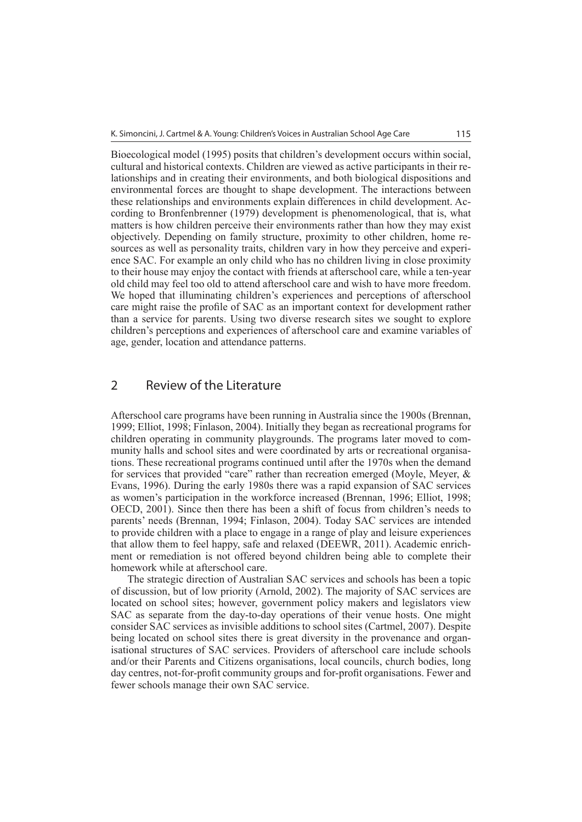Bioecological model (1995) posits that children's development occurs within social, cultural and historical contexts. Children are viewed as active participants in their relationships and in creating their environments, and both biological dispositions and environmental forces are thought to shape development. The interactions between these relationships and environments explain differences in child development. According to Bronfenbrenner (1979) development is phenomenological, that is, what matters is how children perceive their environments rather than how they may exist objectively. Depending on family structure, proximity to other children, home resources as well as personality traits, children vary in how they perceive and experience SAC. For example an only child who has no children living in close proximity to their house may enjoy the contact with friends at afterschool care, while a ten-year old child may feel too old to attend afterschool care and wish to have more freedom. We hoped that illuminating children's experiences and perceptions of afterschool care might raise the profile of SAC as an important context for development rather than a service for parents. Using two diverse research sites we sought to explore children's perceptions and experiences of afterschool care and examine variables of age, gender, location and attendance patterns.

#### 2 Review of the Literature

Afterschool care programs have been running in Australia since the 1900s (Brennan, 1999; Elliot, 1998; Finlason, 2004). Initially they began as recreational programs for children operating in community playgrounds. The programs later moved to community halls and school sites and were coordinated by arts or recreational organisations. These recreational programs continued until after the 1970s when the demand for services that provided "care" rather than recreation emerged (Moyle, Meyer, & Evans, 1996). During the early 1980s there was a rapid expansion of SAC services as women's participation in the workforce increased (Brennan, 1996; Elliot, 1998; OECD, 2001). Since then there has been a shift of focus from children's needs to parents' needs (Brennan, 1994; Finlason, 2004). Today SAC services are intended to provide children with a place to engage in a range of play and leisure experiences that allow them to feel happy, safe and relaxed (DEEWR, 2011). Academic enrichment or remediation is not offered beyond children being able to complete their homework while at afterschool care.

The strategic direction of Australian SAC services and schools has been a topic of discussion, but of low priority (Arnold, 2002). The majority of SAC services are located on school sites; however, government policy makers and legislators view SAC as separate from the day-to-day operations of their venue hosts. One might consider SAC services as invisible additions to school sites (Cartmel, 2007). Despite being located on school sites there is great diversity in the provenance and organisational structures of SAC services. Providers of afterschool care include schools and/or their Parents and Citizens organisations, local councils, church bodies, long day centres, not-for-profit community groups and for-profit organisations. Fewer and fewer schools manage their own SAC service.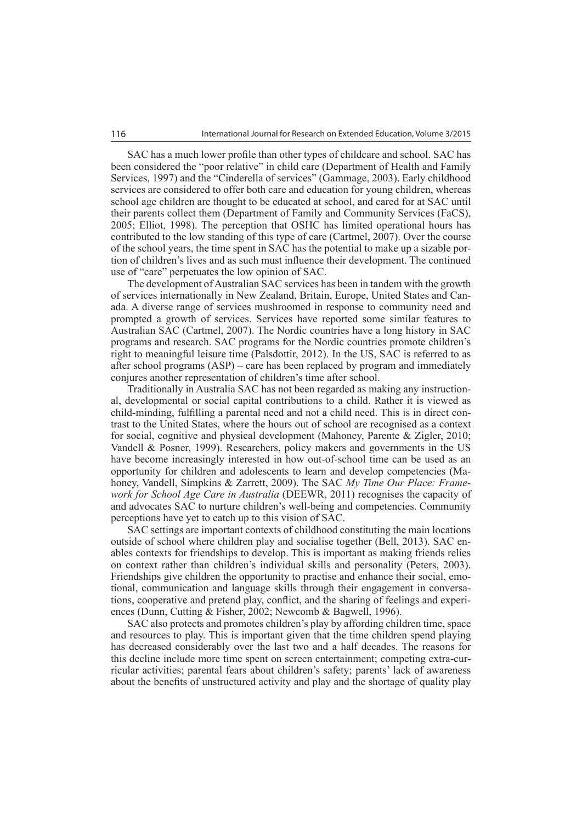SAC has a much lower profile than other types of childcare and school. SAC has been considered the "poor relative" in child care (Department of Health and Family Services, 1997) and the "Cinderella of services" (Gammage, 2003). Early childhood services are considered to offer both care and education for young children, whereas school age children are thought to be educated at school, and cared for at SAC until their parents collect them (Department of Family and Community Services (FaCS), 2005; Elliot, 1998). The perception that OSHC has limited operational hours has contributed to the low standing of this type of care (Cartmel, 2007). Over the course of the school years, the time spent in SAC has the potential to make up a sizable portion of children's lives and as such must influence their development. The continued use of "care" perpetuates the low opinion of SAC.

The development of Australian SAC services has been in tandem with the growth of services internationally in New Zealand, Britain, Europe, United States and Canada. A diverse range of services mushroomed in response to community need and prompted a growth of services. Services have reported some similar features to Australian SAC (Cartmel, 2007). The Nordic countries have a long history in SAC programs and research. SAC programs for the Nordic countries promote children's right to meaningful leisure time (Palsdottir, 2012). In the US, SAC is referred to as after school programs (ASP) – care has been replaced by program and immediately conjures another representation of children's time after school.

Traditionally in Australia SAC has not been regarded as making any instructional, developmental or social capital contributions to a child. Rather it is viewed as child-minding, fulfilling a parental need and not a child need. This is in direct contrast to the United States, where the hours out of school are recognised as a context for social, cognitive and physical development (Mahoney, Parente & Zigler, 2010; Vandell & Posner, 1999). Researchers, policy makers and governments in the US have become increasingly interested in how out-of-school time can be used as an opportunity for children and adolescents to learn and develop competencies (Mahoney, Vandell, Simpkins & Zarrett, 2009). The SAC *My Time Our Place: Framework for School Age Care in Australia* (DEEWR, 2011) recognises the capacity of and advocates SAC to nurture children's well-being and competencies. Community perceptions have yet to catch up to this vision of SAC.

SAC settings are important contexts of childhood constituting the main locations outside of school where children play and socialise together (Bell, 2013). SAC enables contexts for friendships to develop. This is important as making friends relies on context rather than children's individual skills and personality (Peters, 2003). Friendships give children the opportunity to practise and enhance their social, emotional, communication and language skills through their engagement in conversations, cooperative and pretend play, conflict, and the sharing of feelings and experiences (Dunn, Cutting & Fisher, 2002; Newcomb & Bagwell, 1996).

SAC also protects and promotes children's play by affording children time, space and resources to play. This is important given that the time children spend playing has decreased considerably over the last two and a half decades. The reasons for this decline include more time spent on screen entertainment; competing extra-curricular activities; parental fears about children's safety; parents' lack of awareness about the benefits of unstructured activity and play and the shortage of quality play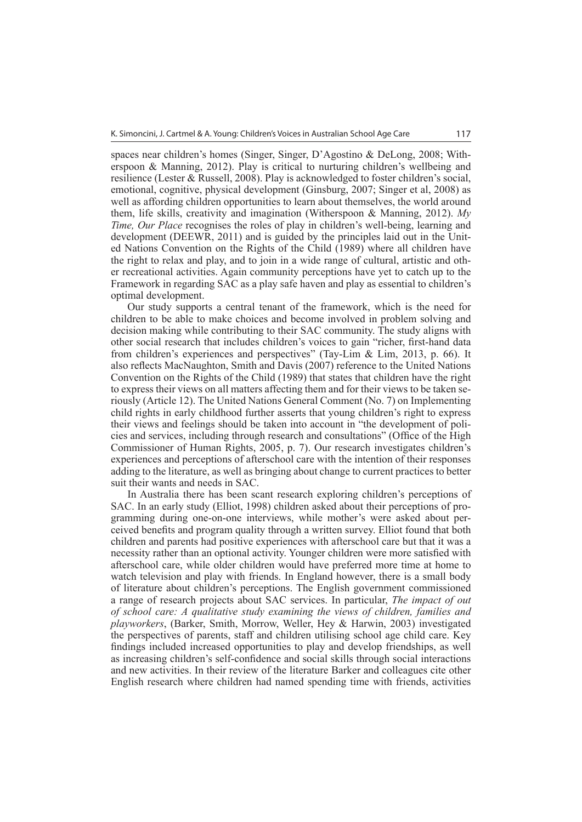spaces near children's homes (Singer, Singer, D'Agostino & DeLong, 2008; Witherspoon & Manning, 2012). Play is critical to nurturing children's wellbeing and resilience (Lester & Russell, 2008). Play is acknowledged to foster children's social, emotional, cognitive, physical development (Ginsburg, 2007; Singer et al, 2008) as well as affording children opportunities to learn about themselves, the world around them, life skills, creativity and imagination (Witherspoon & Manning, 2012). *My Time, Our Place* recognises the roles of play in children's well-being, learning and development (DEEWR, 2011) and is guided by the principles laid out in the United Nations Convention on the Rights of the Child (1989) where all children have the right to relax and play, and to join in a wide range of cultural, artistic and other recreational activities. Again community perceptions have yet to catch up to the Framework in regarding SAC as a play safe haven and play as essential to children's optimal development.

Our study supports a central tenant of the framework, which is the need for children to be able to make choices and become involved in problem solving and decision making while contributing to their SAC community. The study aligns with other social research that includes children's voices to gain "richer, first-hand data from children's experiences and perspectives" (Tay-Lim & Lim, 2013, p. 66). It also reflects MacNaughton, Smith and Davis (2007) reference to the United Nations Convention on the Rights of the Child (1989) that states that children have the right to express their views on all matters affecting them and for their views to be taken seriously (Article 12). The United Nations General Comment (No. 7) on Implementing child rights in early childhood further asserts that young children's right to express their views and feelings should be taken into account in "the development of policies and services, including through research and consultations" (Office of the High Commissioner of Human Rights, 2005, p. 7). Our research investigates children's experiences and perceptions of afterschool care with the intention of their responses adding to the literature, as well as bringing about change to current practices to better suit their wants and needs in SAC.

In Australia there has been scant research exploring children's perceptions of SAC. In an early study (Elliot, 1998) children asked about their perceptions of programming during one-on-one interviews, while mother's were asked about perceived benefits and program quality through a written survey. Elliot found that both children and parents had positive experiences with afterschool care but that it was a necessity rather than an optional activity. Younger children were more satisfied with afterschool care, while older children would have preferred more time at home to watch television and play with friends. In England however, there is a small body of literature about children's perceptions. The English government commissioned a range of research projects about SAC services. In particular, *The impact of out of school care: A qualitative study examining the views of children, families and playworkers*, (Barker, Smith, Morrow, Weller, Hey & Harwin, 2003) investigated the perspectives of parents, staff and children utilising school age child care. Key findings included increased opportunities to play and develop friendships, as well as increasing children's self-confidence and social skills through social interactions and new activities. In their review of the literature Barker and colleagues cite other English research where children had named spending time with friends, activities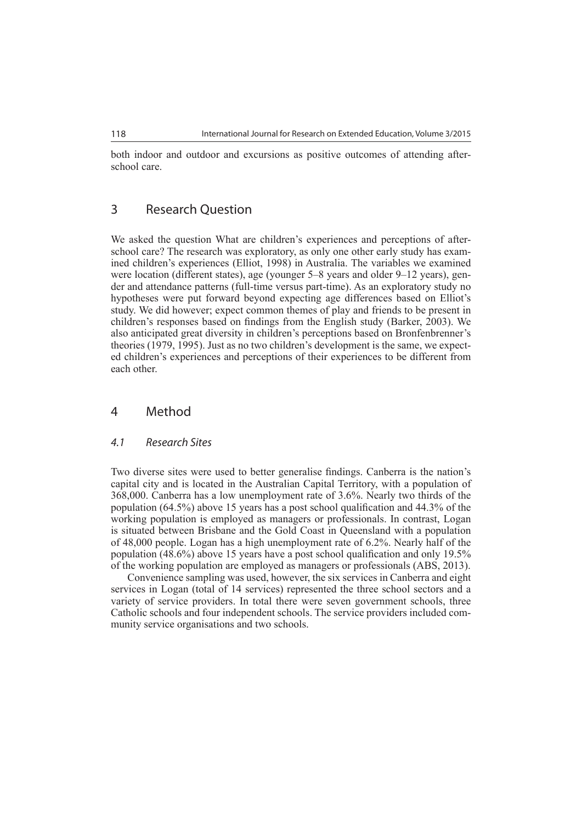both indoor and outdoor and excursions as positive outcomes of attending afterschool care.

#### 3 Research Question

We asked the question What are children's experiences and perceptions of afterschool care? The research was exploratory, as only one other early study has examined children's experiences (Elliot, 1998) in Australia. The variables we examined were location (different states), age (younger 5–8 years and older 9–12 years), gender and attendance patterns (full-time versus part-time). As an exploratory study no hypotheses were put forward beyond expecting age differences based on Elliot's study. We did however; expect common themes of play and friends to be present in children's responses based on findings from the English study (Barker, 2003). We also anticipated great diversity in children's perceptions based on Bronfenbrenner's theories (1979, 1995). Just as no two children's development is the same, we expected children's experiences and perceptions of their experiences to be different from each other.

#### 4 Method

#### *4.1 Research Sites*

Two diverse sites were used to better generalise findings. Canberra is the nation's capital city and is located in the Australian Capital Territory, with a population of 368,000. Canberra has a low unemployment rate of 3.6%. Nearly two thirds of the population (64.5%) above 15 years has a post school qualification and 44.3% of the working population is employed as managers or professionals. In contrast, Logan is situated between Brisbane and the Gold Coast in Queensland with a population of 48,000 people. Logan has a high unemployment rate of 6.2%. Nearly half of the population (48.6%) above 15 years have a post school qualification and only 19.5% of the working population are employed as managers or professionals (ABS, 2013).

Convenience sampling was used, however, the six services in Canberra and eight services in Logan (total of 14 services) represented the three school sectors and a variety of service providers. In total there were seven government schools, three Catholic schools and four independent schools. The service providers included community service organisations and two schools.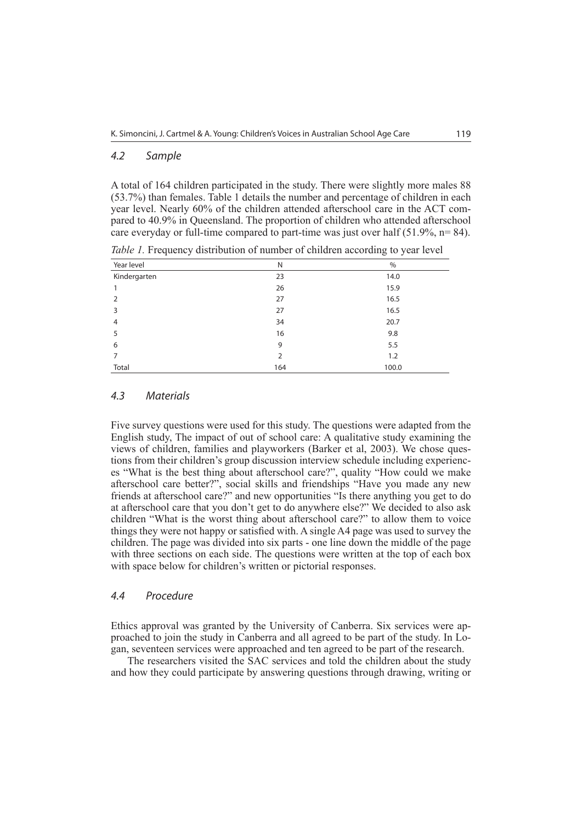#### *4.2 Sample*

A total of 164 children participated in the study. There were slightly more males 88 (53.7%) than females. Table 1 details the number and percentage of children in each year level. Nearly 60% of the children attended afterschool care in the ACT compared to 40.9% in Queensland. The proportion of children who attended afterschool care everyday or full-time compared to part-time was just over half (51.9%, n= 84).

| Year level     | N   | $\%$  |
|----------------|-----|-------|
| Kindergarten   | 23  | 14.0  |
| 1              | 26  | 15.9  |
| 2              | 27  | 16.5  |
| 3              | 27  | 16.5  |
| $\overline{4}$ | 34  | 20.7  |
| 5              | 16  | 9.8   |
| 6              | 9   | 5.5   |
| 7              | 2   | 1.2   |
| Total          | 164 | 100.0 |

*Table 1.* Frequency distribution of number of children according to year level

#### *4.3 Materials*

Five survey questions were used for this study. The questions were adapted from the English study, The impact of out of school care: A qualitative study examining the views of children, families and playworkers (Barker et al, 2003). We chose questions from their children's group discussion interview schedule including experiences "What is the best thing about afterschool care?", quality "How could we make afterschool care better?", social skills and friendships "Have you made any new friends at afterschool care?" and new opportunities "Is there anything you get to do at afterschool care that you don't get to do anywhere else?" We decided to also ask children "What is the worst thing about afterschool care?" to allow them to voice things they were not happy or satisfied with. A single A4 page was used to survey the children. The page was divided into six parts - one line down the middle of the page with three sections on each side. The questions were written at the top of each box with space below for children's written or pictorial responses.

#### *4.4 Procedure*

Ethics approval was granted by the University of Canberra. Six services were approached to join the study in Canberra and all agreed to be part of the study. In Logan, seventeen services were approached and ten agreed to be part of the research.

The researchers visited the SAC services and told the children about the study and how they could participate by answering questions through drawing, writing or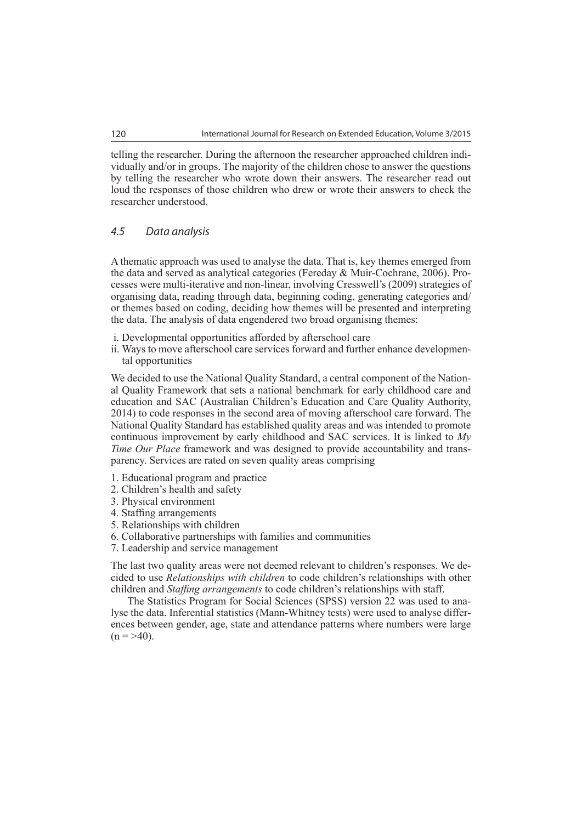telling the researcher. During the afternoon the researcher approached children individually and/or in groups. The majority of the children chose to answer the questions by telling the researcher who wrote down their answers. The researcher read out loud the responses of those children who drew or wrote their answers to check the researcher understood.

#### *4.5 Data analysis*

A thematic approach was used to analyse the data. That is, key themes emerged from the data and served as analytical categories (Fereday & Muir-Cochrane, 2006). Processes were multi-iterative and non-linear, involving Cresswell's (2009) strategies of organising data, reading through data, beginning coding, generating categories and/ or themes based on coding, deciding how themes will be presented and interpreting the data. The analysis of data engendered two broad organising themes:

- i. Developmental opportunities afforded by afterschool care
- ii. Ways to move afterschool care services forward and further enhance developmental opportunities

We decided to use the National Quality Standard, a central component of the National Quality Framework that sets a national benchmark for early childhood care and education and SAC (Australian Children's Education and Care Quality Authority, 2014) to code responses in the second area of moving afterschool care forward. The National Quality Standard has established quality areas and was intended to promote continuous improvement by early childhood and SAC services. It is linked to *My Time Our Place* framework and was designed to provide accountability and transparency. Services are rated on seven quality areas comprising

- 1. Educational program and practice
- 2. Children's health and safety
- 3. Physical environment
- 4. Staffing arrangements
- 5. Relationships with children
- 6. Collaborative partnerships with families and communities
- 7. Leadership and service management

The last two quality areas were not deemed relevant to children's responses. We decided to use *Relationships with children* to code children's relationships with other children and *Staffing arrangements* to code children's relationships with staff.

The Statistics Program for Social Sciences (SPSS) version 22 was used to analyse the data. Inferential statistics (Mann-Whitney tests) were used to analyse differences between gender, age, state and attendance patterns where numbers were large  $(n = > 40)$ .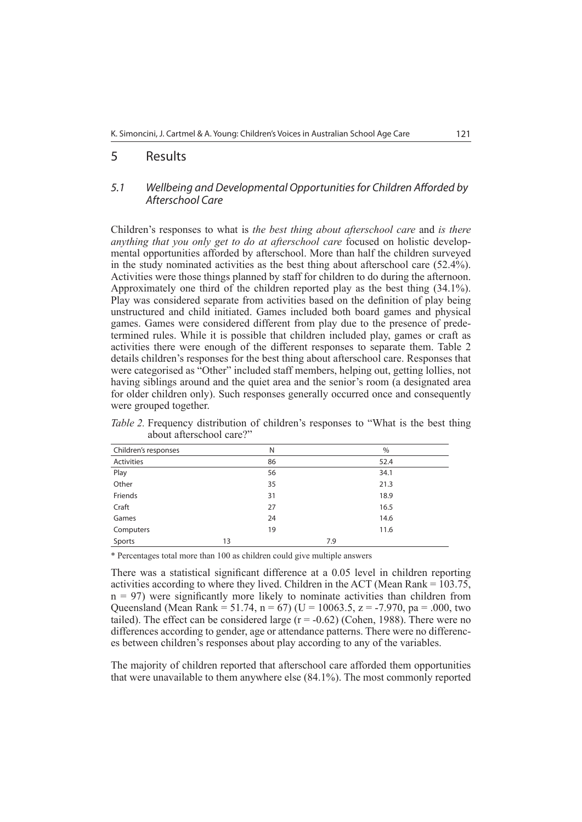#### 5 Results

#### *5.1 Wellbeing and Developmental Opportunities for Children Afforded by Afterschool Care*

Children's responses to what is *the best thing about afterschool care* and *is there anything that you only get to do at afterschool care* focused on holistic developmental opportunities afforded by afterschool. More than half the children surveyed in the study nominated activities as the best thing about afterschool care (52.4%). Activities were those things planned by staff for children to do during the afternoon. Approximately one third of the children reported play as the best thing (34.1%). Play was considered separate from activities based on the definition of play being unstructured and child initiated. Games included both board games and physical games. Games were considered different from play due to the presence of predetermined rules. While it is possible that children included play, games or craft as activities there were enough of the different responses to separate them. Table 2 details children's responses for the best thing about afterschool care. Responses that were categorised as "Other" included staff members, helping out, getting lollies, not having siblings around and the quiet area and the senior's room (a designated area for older children only). Such responses generally occurred once and consequently were grouped together.

| Children's responses | N  | $\%$ |
|----------------------|----|------|
| Activities           | 86 | 52.4 |
| Play                 | 56 | 34.1 |
| Other                | 35 | 21.3 |
| Friends              | 31 | 18.9 |
| Craft                | 27 | 16.5 |
| Games                | 24 | 14.6 |
| Computers            | 19 | 11.6 |
| Sports               | 13 | 7.9  |

*Table 2.* Frequency distribution of children's responses to "What is the best thing about afterschool care?"

\* Percentages total more than 100 as children could give multiple answers

There was a statistical significant difference at a 0.05 level in children reporting activities according to where they lived. Children in the ACT (Mean Rank = 103.75,  $n = 97$ ) were significantly more likely to nominate activities than children from Queensland (Mean Rank = 51.74, n = 67) (U = 10063.5, z = -7.970, pa = .000, two tailed). The effect can be considered large  $(r = -0.62)$  (Cohen, 1988). There were no differences according to gender, age or attendance patterns. There were no differences between children's responses about play according to any of the variables.

The majority of children reported that afterschool care afforded them opportunities that were unavailable to them anywhere else (84.1%). The most commonly reported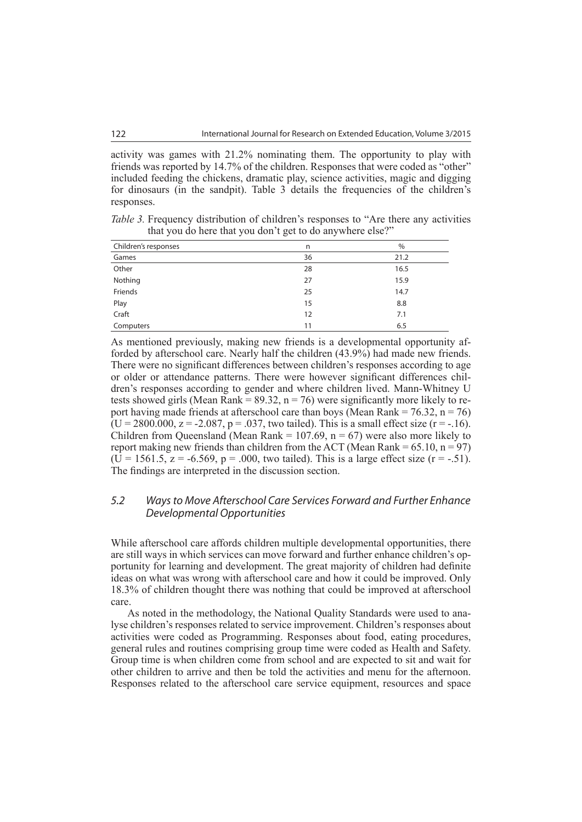activity was games with 21.2% nominating them. The opportunity to play with friends was reported by 14.7% of the children. Responses that were coded as "other" included feeding the chickens, dramatic play, science activities, magic and digging for dinosaurs (in the sandpit). Table 3 details the frequencies of the children's responses.

| <i>Table 3.</i> Frequency distribution of children's responses to "Are there any activities" |  |  |  |  |
|----------------------------------------------------------------------------------------------|--|--|--|--|
| that you do here that you don't get to do anywhere else?"                                    |  |  |  |  |

| Children's responses | n  | $\%$ |
|----------------------|----|------|
| Games                | 36 | 21.2 |
| Other                | 28 | 16.5 |
| Nothing              | 27 | 15.9 |
| Friends              | 25 | 14.7 |
|                      | 15 | 8.8  |
| Play<br>Craft        | 12 | 7.1  |
| Computers            | 11 | 6.5  |

As mentioned previously, making new friends is a developmental opportunity afforded by afterschool care. Nearly half the children (43.9%) had made new friends. There were no significant differences between children's responses according to age or older or attendance patterns. There were however significant differences children's responses according to gender and where children lived. Mann-Whitney U tests showed girls (Mean Rank =  $89.32$ , n = 76) were significantly more likely to report having made friends at afterschool care than boys (Mean Rank =  $76.32$ , n =  $76$ )  $(U = 2800.000, z = -2.087, p = .037, two-tailed)$ . This is a small effect size (r = -.16). Children from Queensland (Mean Rank =  $107.69$ , n = 67) were also more likely to report making new friends than children from the ACT (Mean Rank =  $65.10$ , n =  $97$ )  $(U = 1561.5, z = -6.569, p = .000,$  two tailed). This is a large effect size  $(r = -.51)$ . The findings are interpreted in the discussion section.

#### *5.2 Ways to Move Afterschool Care Services Forward and Further Enhance Developmental Opportunities*

While afterschool care affords children multiple developmental opportunities, there are still ways in which services can move forward and further enhance children's opportunity for learning and development. The great majority of children had definite ideas on what was wrong with afterschool care and how it could be improved. Only 18.3% of children thought there was nothing that could be improved at afterschool care.

As noted in the methodology, the National Quality Standards were used to analyse children's responses related to service improvement. Children's responses about activities were coded as Programming. Responses about food, eating procedures, general rules and routines comprising group time were coded as Health and Safety. Group time is when children come from school and are expected to sit and wait for other children to arrive and then be told the activities and menu for the afternoon. Responses related to the afterschool care service equipment, resources and space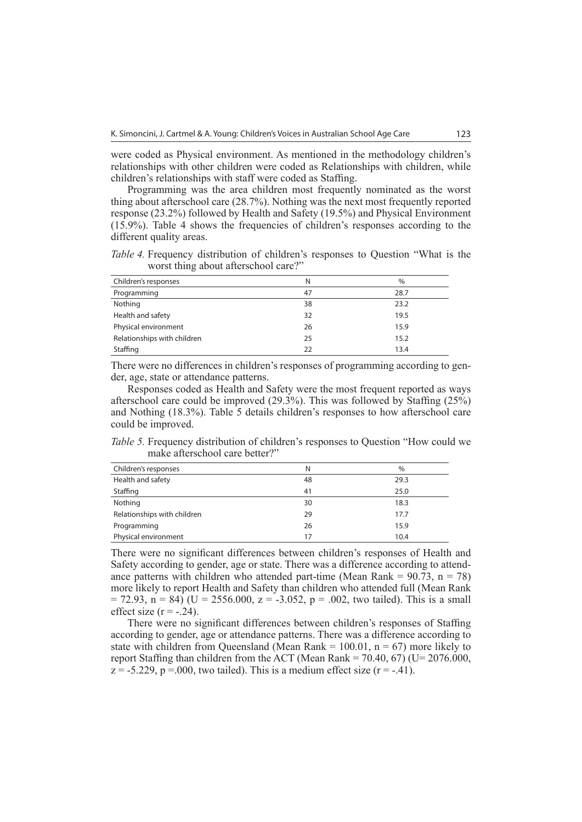were coded as Physical environment. As mentioned in the methodology children's relationships with other children were coded as Relationships with children, while children's relationships with staff were coded as Staffing.

Programming was the area children most frequently nominated as the worst thing about afterschool care (28.7%). Nothing was the next most frequently reported response (23.2%) followed by Health and Safety (19.5%) and Physical Environment (15.9%). Table 4 shows the frequencies of children's responses according to the different quality areas.

*Table 4.* Frequency distribution of children's responses to Ouestion "What is the worst thing about afterschool care?"

| Children's responses        | N  | $\%$ |
|-----------------------------|----|------|
| Programming                 | 47 | 28.7 |
| Nothing                     | 38 | 23.2 |
| Health and safety           | 32 | 19.5 |
| Physical environment        | 26 | 15.9 |
| Relationships with children | 25 | 15.2 |
| Staffing                    | 22 | 13.4 |

There were no differences in children's responses of programming according to gender, age, state or attendance patterns.

Responses coded as Health and Safety were the most frequent reported as ways afterschool care could be improved (29.3%). This was followed by Staffing (25%) and Nothing (18.3%). Table 5 details children's responses to how afterschool care could be improved.

*Table 5.* Frequency distribution of children's responses to Question "How could we make afterschool care better?"

| Children's responses        | N  | %    |
|-----------------------------|----|------|
| Health and safety           | 48 | 29.3 |
| Staffing                    | 41 | 25.0 |
| Nothing                     | 30 | 18.3 |
| Relationships with children | 29 | 17.7 |
| Programming                 | 26 | 15.9 |
| Physical environment        | 17 | 10.4 |

There were no significant differences between children's responses of Health and Safety according to gender, age or state. There was a difference according to attendance patterns with children who attended part-time (Mean Rank =  $90.73$ , n = 78) more likely to report Health and Safety than children who attended full (Mean Rank  $= 72.93$ ,  $n = 84$ ) (U = 2556.000, z = -3.052, p = .002, two tailed). This is a small effect size  $(r = -.24)$ .

There were no significant differences between children's responses of Staffing according to gender, age or attendance patterns. There was a difference according to state with children from Queensland (Mean Rank  $= 100.01$ ,  $n = 67$ ) more likely to report Staffing than children from the ACT (Mean Rank =  $70.40, 67$ ) (U= 2076.000,  $z = -5.229$ ,  $p = 0.00$ , two tailed). This is a medium effect size (r = -.41).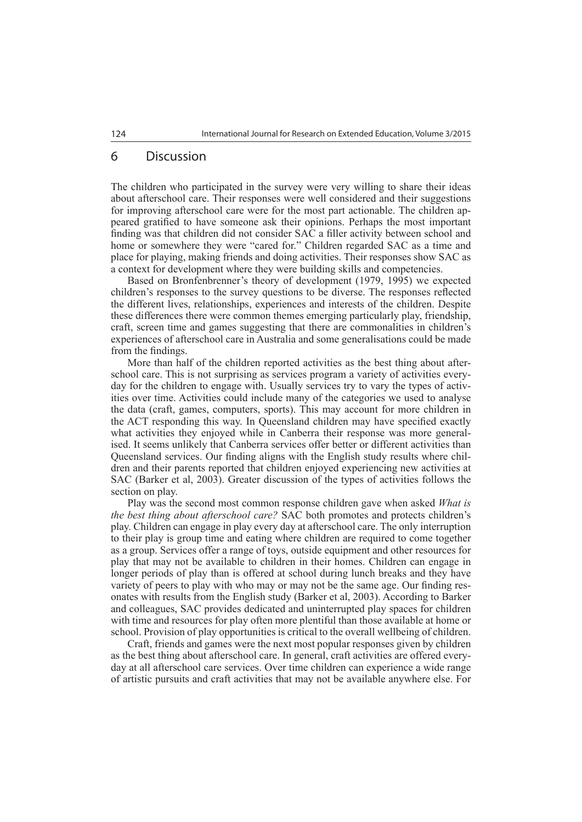#### 6 Discussion

The children who participated in the survey were very willing to share their ideas about afterschool care. Their responses were well considered and their suggestions for improving afterschool care were for the most part actionable. The children appeared gratified to have someone ask their opinions. Perhaps the most important finding was that children did not consider SAC a filler activity between school and home or somewhere they were "cared for." Children regarded SAC as a time and place for playing, making friends and doing activities. Their responses show SAC as a context for development where they were building skills and competencies.

Based on Bronfenbrenner's theory of development (1979, 1995) we expected children's responses to the survey questions to be diverse. The responses reflected the different lives, relationships, experiences and interests of the children. Despite these differences there were common themes emerging particularly play, friendship, craft, screen time and games suggesting that there are commonalities in children's experiences of afterschool care in Australia and some generalisations could be made from the findings.

More than half of the children reported activities as the best thing about afterschool care. This is not surprising as services program a variety of activities everyday for the children to engage with. Usually services try to vary the types of activities over time. Activities could include many of the categories we used to analyse the data (craft, games, computers, sports). This may account for more children in the ACT responding this way. In Queensland children may have specified exactly what activities they enjoyed while in Canberra their response was more generalised. It seems unlikely that Canberra services offer better or different activities than Queensland services. Our finding aligns with the English study results where children and their parents reported that children enjoyed experiencing new activities at SAC (Barker et al, 2003). Greater discussion of the types of activities follows the section on play.

Play was the second most common response children gave when asked *What is the best thing about afterschool care?* SAC both promotes and protects children's play. Children can engage in play every day at afterschool care. The only interruption to their play is group time and eating where children are required to come together as a group. Services offer a range of toys, outside equipment and other resources for play that may not be available to children in their homes. Children can engage in longer periods of play than is offered at school during lunch breaks and they have variety of peers to play with who may or may not be the same age. Our finding resonates with results from the English study (Barker et al, 2003). According to Barker and colleagues, SAC provides dedicated and uninterrupted play spaces for children with time and resources for play often more plentiful than those available at home or school. Provision of play opportunities is critical to the overall wellbeing of children.

Craft, friends and games were the next most popular responses given by children as the best thing about afterschool care. In general, craft activities are offered everyday at all afterschool care services. Over time children can experience a wide range of artistic pursuits and craft activities that may not be available anywhere else. For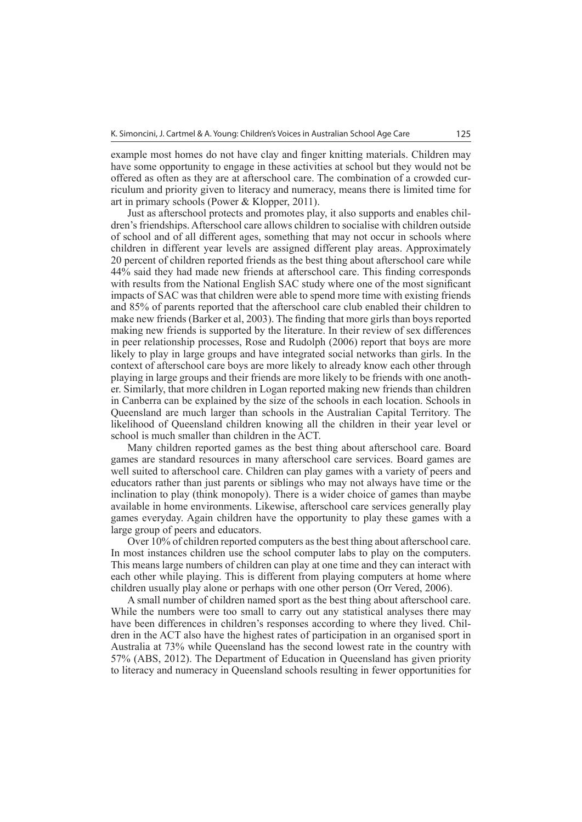example most homes do not have clay and finger knitting materials. Children may have some opportunity to engage in these activities at school but they would not be offered as often as they are at afterschool care. The combination of a crowded curriculum and priority given to literacy and numeracy, means there is limited time for art in primary schools (Power & Klopper, 2011).

Just as afterschool protects and promotes play, it also supports and enables children's friendships. Afterschool care allows children to socialise with children outside of school and of all different ages, something that may not occur in schools where children in different year levels are assigned different play areas. Approximately 20 percent of children reported friends as the best thing about afterschool care while 44% said they had made new friends at afterschool care. This finding corresponds with results from the National English SAC study where one of the most significant impacts of SAC was that children were able to spend more time with existing friends and 85% of parents reported that the afterschool care club enabled their children to make new friends (Barker et al, 2003). The finding that more girls than boys reported making new friends is supported by the literature. In their review of sex differences in peer relationship processes, Rose and Rudolph (2006) report that boys are more likely to play in large groups and have integrated social networks than girls. In the context of afterschool care boys are more likely to already know each other through playing in large groups and their friends are more likely to be friends with one another. Similarly, that more children in Logan reported making new friends than children in Canberra can be explained by the size of the schools in each location. Schools in Queensland are much larger than schools in the Australian Capital Territory. The likelihood of Queensland children knowing all the children in their year level or school is much smaller than children in the ACT.

Many children reported games as the best thing about afterschool care. Board games are standard resources in many afterschool care services. Board games are well suited to afterschool care. Children can play games with a variety of peers and educators rather than just parents or siblings who may not always have time or the inclination to play (think monopoly). There is a wider choice of games than maybe available in home environments. Likewise, afterschool care services generally play games everyday. Again children have the opportunity to play these games with a large group of peers and educators.

Over 10% of children reported computers as the best thing about afterschool care. In most instances children use the school computer labs to play on the computers. This means large numbers of children can play at one time and they can interact with each other while playing. This is different from playing computers at home where children usually play alone or perhaps with one other person (Orr Vered, 2006).

A small number of children named sport as the best thing about afterschool care. While the numbers were too small to carry out any statistical analyses there may have been differences in children's responses according to where they lived. Children in the ACT also have the highest rates of participation in an organised sport in Australia at 73% while Queensland has the second lowest rate in the country with 57% (ABS, 2012). The Department of Education in Queensland has given priority to literacy and numeracy in Queensland schools resulting in fewer opportunities for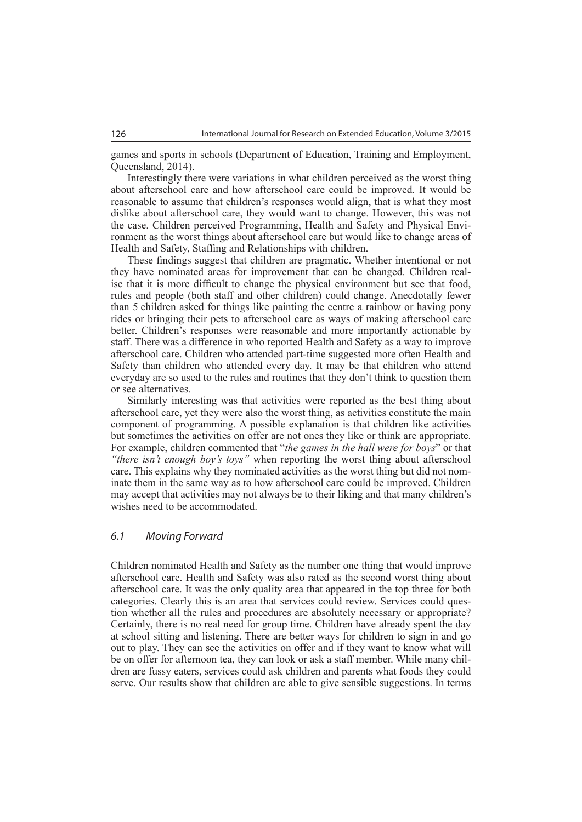games and sports in schools (Department of Education, Training and Employment, Queensland, 2014).

Interestingly there were variations in what children perceived as the worst thing about afterschool care and how afterschool care could be improved. It would be reasonable to assume that children's responses would align, that is what they most dislike about afterschool care, they would want to change. However, this was not the case. Children perceived Programming, Health and Safety and Physical Environment as the worst things about afterschool care but would like to change areas of Health and Safety, Staffing and Relationships with children.

These findings suggest that children are pragmatic. Whether intentional or not they have nominated areas for improvement that can be changed. Children realise that it is more difficult to change the physical environment but see that food, rules and people (both staff and other children) could change. Anecdotally fewer than 5 children asked for things like painting the centre a rainbow or having pony rides or bringing their pets to afterschool care as ways of making afterschool care better. Children's responses were reasonable and more importantly actionable by staff. There was a difference in who reported Health and Safety as a way to improve afterschool care. Children who attended part-time suggested more often Health and Safety than children who attended every day. It may be that children who attend everyday are so used to the rules and routines that they don't think to question them or see alternatives.

Similarly interesting was that activities were reported as the best thing about afterschool care, yet they were also the worst thing, as activities constitute the main component of programming. A possible explanation is that children like activities but sometimes the activities on offer are not ones they like or think are appropriate. For example, children commented that "*the games in the hall were for boys*" or that *"there isn't enough boy's toys"* when reporting the worst thing about afterschool care. This explains why they nominated activities as the worst thing but did not nominate them in the same way as to how afterschool care could be improved. Children may accept that activities may not always be to their liking and that many children's wishes need to be accommodated.

#### *6.1 Moving Forward*

Children nominated Health and Safety as the number one thing that would improve afterschool care. Health and Safety was also rated as the second worst thing about afterschool care. It was the only quality area that appeared in the top three for both categories. Clearly this is an area that services could review. Services could question whether all the rules and procedures are absolutely necessary or appropriate? Certainly, there is no real need for group time. Children have already spent the day at school sitting and listening. There are better ways for children to sign in and go out to play. They can see the activities on offer and if they want to know what will be on offer for afternoon tea, they can look or ask a staff member. While many children are fussy eaters, services could ask children and parents what foods they could serve. Our results show that children are able to give sensible suggestions. In terms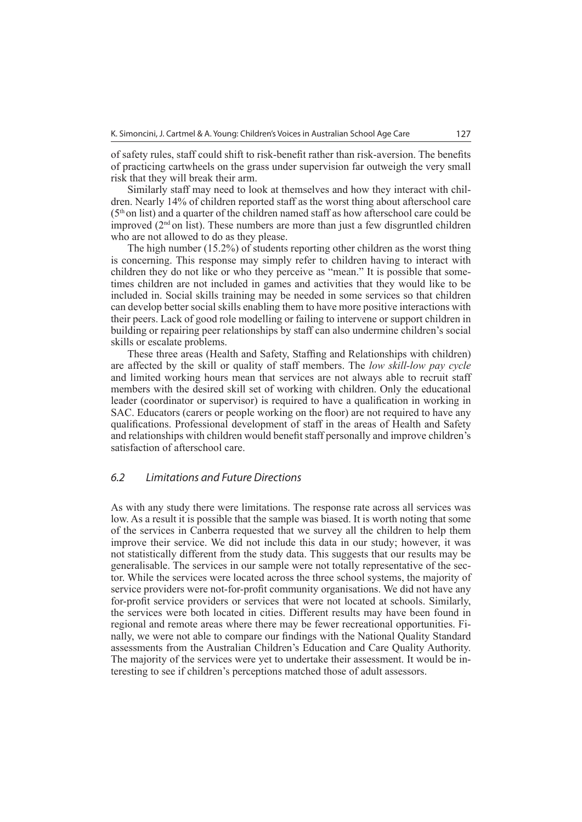of safety rules, staff could shift to risk-benefit rather than risk-aversion. The benefits of practicing cartwheels on the grass under supervision far outweigh the very small risk that they will break their arm.

Similarly staff may need to look at themselves and how they interact with children. Nearly 14% of children reported staff as the worst thing about afterschool care  $(5<sup>th</sup>$  on list) and a quarter of the children named staff as how afterschool care could be improved  $(2<sup>nd</sup>$  on list). These numbers are more than just a few disgruntled children who are not allowed to do as they please.

The high number (15.2%) of students reporting other children as the worst thing is concerning. This response may simply refer to children having to interact with children they do not like or who they perceive as "mean." It is possible that sometimes children are not included in games and activities that they would like to be included in. Social skills training may be needed in some services so that children can develop better social skills enabling them to have more positive interactions with their peers. Lack of good role modelling or failing to intervene or support children in building or repairing peer relationships by staff can also undermine children's social skills or escalate problems.

These three areas (Health and Safety, Staffing and Relationships with children) are affected by the skill or quality of staff members. The *low skill-low pay cycle* and limited working hours mean that services are not always able to recruit staff members with the desired skill set of working with children. Only the educational leader (coordinator or supervisor) is required to have a qualification in working in SAC. Educators (carers or people working on the floor) are not required to have any qualifications. Professional development of staff in the areas of Health and Safety and relationships with children would benefit staff personally and improve children's satisfaction of afterschool care.

#### *6.2 Limitations and Future Directions*

As with any study there were limitations. The response rate across all services was low. As a result it is possible that the sample was biased. It is worth noting that some of the services in Canberra requested that we survey all the children to help them improve their service. We did not include this data in our study; however, it was not statistically different from the study data. This suggests that our results may be generalisable. The services in our sample were not totally representative of the sector. While the services were located across the three school systems, the majority of service providers were not-for-profit community organisations. We did not have any for-profit service providers or services that were not located at schools. Similarly, the services were both located in cities. Different results may have been found in regional and remote areas where there may be fewer recreational opportunities. Finally, we were not able to compare our findings with the National Quality Standard assessments from the Australian Children's Education and Care Quality Authority. The majority of the services were yet to undertake their assessment. It would be interesting to see if children's perceptions matched those of adult assessors.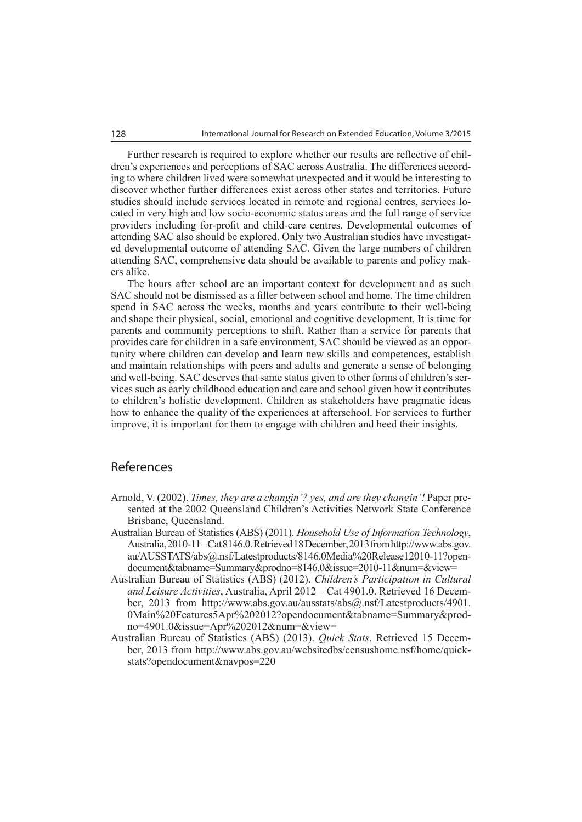Further research is required to explore whether our results are reflective of children's experiences and perceptions of SAC across Australia. The differences according to where children lived were somewhat unexpected and it would be interesting to discover whether further differences exist across other states and territories. Future studies should include services located in remote and regional centres, services located in very high and low socio-economic status areas and the full range of service providers including for-profit and child-care centres. Developmental outcomes of attending SAC also should be explored. Only two Australian studies have investigated developmental outcome of attending SAC. Given the large numbers of children attending SAC, comprehensive data should be available to parents and policy makers alike.

The hours after school are an important context for development and as such SAC should not be dismissed as a filler between school and home. The time children spend in SAC across the weeks, months and years contribute to their well-being and shape their physical, social, emotional and cognitive development. It is time for parents and community perceptions to shift. Rather than a service for parents that provides care for children in a safe environment, SAC should be viewed as an opportunity where children can develop and learn new skills and competences, establish and maintain relationships with peers and adults and generate a sense of belonging and well-being. SAC deserves that same status given to other forms of children's services such as early childhood education and care and school given how it contributes to children's holistic development. Children as stakeholders have pragmatic ideas how to enhance the quality of the experiences at afterschool. For services to further improve, it is important for them to engage with children and heed their insights.

#### References

- Arnold, V. (2002). *Times, they are a changin'? yes, and are they changin'!* Paper presented at the 2002 Queensland Children's Activities Network State Conference Brisbane, Queensland.
- Australian Bureau of Statistics (ABS) (2011). *Household Use of Information Technology*, Australia, 2010-11 – Cat 8146.0. Retrieved 18 December, 2013 from [http://www.abs.gov.](http://www.abs.gov) au/AUSSTATS/abs@.nsf/Latestproducts/8146.0Media%20Release12010-11?opendocument&tabname=Summary&prodno=8146.0&issue=2010-11&num=&view=
- Australian Bureau of Statistics (ABS) (2012). *Children's Participation in Cultural and Leisure Activities*, Australia, April 2012 – Cat 4901.0. Retrieved 16 December, 2013 from [http://www.abs.gov.au/ausstats/abs@.nsf/Latestproducts/4901.](http://www.abs.gov.au/ausstats/abs@.nsf/Latestproducts/4901) 0Main%20Features5Apr%202012?opendocument&tabname=Summary&prodno=4901.0&issue=Apr%202012&num=&view=
- Australian Bureau of Statistics (ABS) (2013). *Quick Stats*. Retrieved 15 Decem[ber, 2013 from http://www.abs.gov.au/websitedbs/censushome.nsf/home/quick](http://www.abs.gov.au/websitedbs/censushome.nsf/home/quick-stats?opendocument&navpos=220)stats?[opendocument&navpos=220](http://www.abs.gov.au/websitedbs/censushome.nsf/home/quick-stats?opendocument&navpos=220)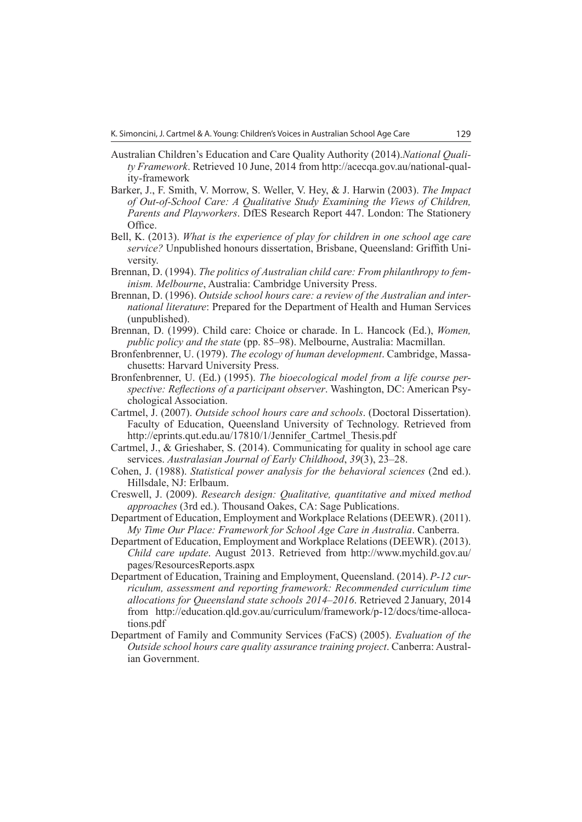- Australian Children's Education and Care Quality Authority (2014).*National Quality Framework*[. Retrieved 10 June, 2014 from http://acecqa.gov.au/national-qual](http://acecqa.gov.au/national-qual-ity-framework)ity[-framework](http://acecqa.gov.au/national-qual-ity-framework)
- Barker, J., F. Smith, V. Morrow, S. Weller, V. Hey, & J. Harwin (2003). *The Impact of Out-of-School Care: A Qualitative Study Examining the Views of Children, Parents and Playworkers*. DfES Research Report 447. London: The Stationery Office.
- Bell, K. (2013). *What is the experience of play for children in one school age care service?* Unpublished honours dissertation, Brisbane, Queensland: Griffith University.
- Brennan, D. (1994). *The politics of Australian child care: From philanthropy to feminism. Melbourne*, Australia: Cambridge University Press.
- Brennan, D. (1996). *Outside school hours care: a review of the Australian and international literature*: Prepared for the Department of Health and Human Services (unpublished).
- Brennan, D. (1999). Child care: Choice or charade. In L. Hancock (Ed.), *Women, public policy and the state* (pp. 85‒98). Melbourne, Australia: Macmillan.
- Bronfenbrenner, U. (1979). *The ecology of human development*. Cambridge, Massachusetts: Harvard University Press.
- Bronfenbrenner, U. (Ed.) (1995). *The bioecological model from a life course perspective: Reflections of a participant observer*. Washington, DC: American Psychological Association.
- Cartmel, J. (2007). *Outside school hours care and schools*. (Doctoral Dissertation). Faculty of Education, Queensland University of Technology. Retrieved from [http://eprints.qut.edu.au/17810/1/Jennifer\\_Cartmel\\_Thesis.pdf](http://eprints.qut.edu.au/17810/1/Jennifer_Cartmel_Thesis.pdf)
- Cartmel, J., & Grieshaber, S. (2014). Communicating for quality in school age care services. Australasian Journal of Early Childhood, 39(3), 23-28.
- Cohen, J. (1988). *Statistical power analysis for the behavioral sciences* (2nd ed.). Hillsdale, NJ: Erlbaum.
- Creswell, J. (2009). *Research design: Qualitative, quantitative and mixed method approaches* (3rd ed.). Thousand Oakes, CA: Sage Publications.
- Department of Education, Employment and Workplace Relations (DEEWR). (2011). *My Time Our Place: Framework for School Age Care in Australia*. Canberra.
- Department of Education, Employment and Workplace Relations (DEEWR). (2013). *Child care update*. August 2013. Retrieved from <http://www.mychild.gov.au/> pages/ResourcesReports.aspx
- Department of Education, Training and Employment, Queensland. (2014). *P-12 curriculum, assessment and reporting framework: Recommended curriculum time allocations for Queensland state schools 2014–2016*. Retrieved 2 January, 2014 [from http://education.qld.gov.au/curriculum/framework/p-12/docs/time-alloca](http://education.qld.gov.au/curriculum/framework/p-12/docs/time-alloca-tions.pdf)tions[.pdf](http://education.qld.gov.au/curriculum/framework/p-12/docs/time-alloca-tions.pdf)
- Department of Family and Community Services (FaCS) (2005). *Evaluation of the Outside school hours care quality assurance training project*. Canberra: Australian Government.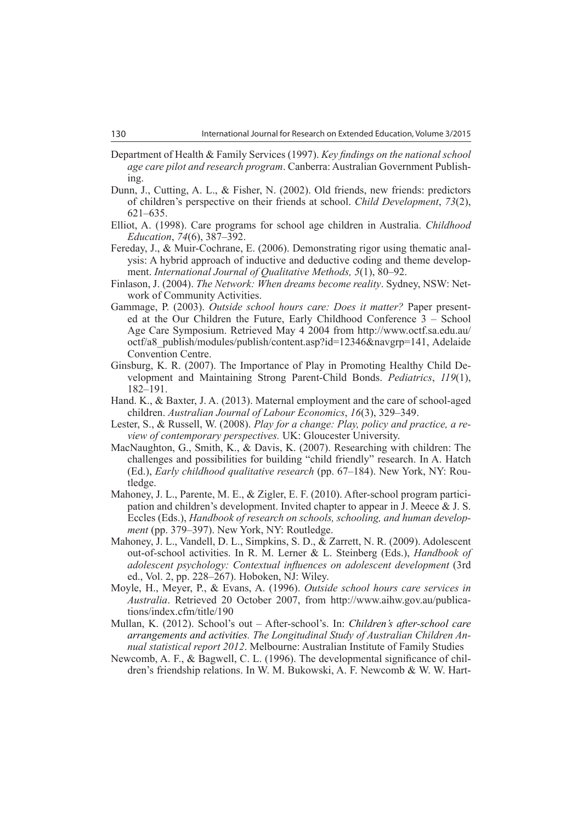- Department of Health & Family Services (1997). *Key findings on the national school age care pilot and research program*. Canberra: Australian Government Publishing.
- Dunn, J., Cutting, A. L., & Fisher, N. (2002). Old friends, new friends: predictors of children's perspective on their friends at school. *Child Development*, *73*(2),  $621 - 635$ .
- Elliot, A. (1998). Care programs for school age children in Australia. *Childhood Education*, *74*(6), 387–392.
- Fereday, J., & Muir-Cochrane, E. (2006). Demonstrating rigor using thematic analysis: A hybrid approach of inductive and deductive coding and theme development. *International Journal of Qualitative Methods,* 5(1), 80–92.
- Finlason, J. (2004). *The Network: When dreams become reality*. Sydney, NSW: Network of Community Activities.
- Gammage, P. (2003). *Outside school hours care: Does it matter?* Paper presented at the Our Children the Future, Early Childhood Conference  $3 -$  School Age Care Symposium. Retrieved May 4 2004 from <http://www.octf.sa.edu.au/> octf/a8\_publish/modules/publish/content.asp?id=12346&navgrp=141, Adelaide Convention Centre.
- Ginsburg, K. R. (2007). The Importance of Play in Promoting Healthy Child Development and Maintaining Strong Parent-Child Bonds. *Pediatrics*, *119*(1), 182‒191.
- Hand. K., & Baxter, J. A. (2013). Maternal employment and the care of school-aged children. *Australian Journal of Labour Economics*, *16*(3), 329‒349.
- Lester, S., & Russell, W. (2008). *Play for a change: Play, policy and practice, a review of contemporary perspectives.* UK: Gloucester University.
- MacNaughton, G., Smith, K., & Davis, K. (2007). Researching with children: The challenges and possibilities for building "child friendly" research. In A. Hatch (Ed.), *Early childhood qualitative research* (pp. 67–184). New York, NY: Routledge.
- Mahoney, J. L., Parente, M. E., & Zigler, E. F. (2010). After-school program participation and children's development. Invited chapter to appear in J. Meece & J. S. Eccles (Eds.), *Handbook of research on schools, schooling, and human development* (pp. 379–397). New York, NY: Routledge.
- Mahoney, J. L., Vandell, D. L., Simpkins, S. D., & Zarrett, N. R. (2009). Adolescent out-of-school activities. In R. M. Lerner & L. Steinberg (Eds.), *Handbook of adolescent psychology: Contextual influences on adolescent development* (3rd ed., Vol. 2, pp. 228–267). Hoboken, NJ: Wiley.
- Moyle, H., Meyer, P., & Evans, A. (1996). *Outside school hours care services in Australia*[. Retrieved 20 October 2007, from http://www.aihw.gov.au/publica](http://www.aihw.gov.au/publica-tions/index.cfm/title/190)tions/[index.cfm/title/190](http://www.aihw.gov.au/publica-tions/index.cfm/title/190)
- Mullan, K. (2012). School's out ‒ After-school's. In: *Children's after-school care arrangements and activities. The Longitudinal Study of Australian Children Annual statistical report 2012*. Melbourne: Australian Institute of Family Studies
- Newcomb, A. F., & Bagwell, C. L. (1996). The developmental significance of children's friendship relations. In W. M. Bukowski, A. F. Newcomb & W. W. Hart-